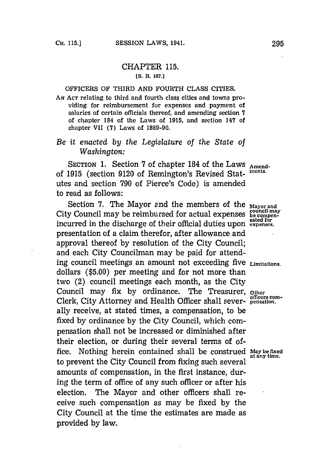## CHAPTER **115. [S. B. 167.J**

## OFFICERS OF THIRD **AND** FOURTH **CLASS** CITIES.

**AN ACT** relating to third and fourth class cities and towns providing for reimbursement for expenses and payment of salaries of certain officials thereof, and amending section **7** of chapter 184 of the Laws of **1915,** and section 147 of chapter VII **(7)** Laws of **1889-90.**

## *Be it enacted by the Legislature of the State of Washington:*

SECTION 1. Section 7 of chapter 184 of the Laws Amendof 1915 (section 9120 of Remington's Revised Stat- ments. utes and section **790** of Pierce's Code) is amended to read as follows:

Section **7.** The Mayor and the members of the **Mayor** and City Council may be reimbursed for actual expenses **be compen**incurred in the discharge of their official duties upon **expenses.** presentation of a claim therefor, after allowance and approval thereof **by** resolution of the City Council; and each City Councilman may be paid for attending council meetings an amount not exceeding five **Limitations.** dollars **(\$5.00)** per meeting and for not more than two (2) council meetings each month, as the City Council may fix by ordinance. The Treasurer, other Clerk, City Attorney and Health Officer shall sever- **pensation.** ally receive, at stated times, a compensation, to be fixed **by** ordinance **by** the City Council, which compensation shall not be increased or diminished after their election, or during their several terms of office. Nothing herein contained shall be construed May be fixed<br>at any time. to prevent the City Council from fixing such several amounts of compensation, in the first instance, during the term of office of any such officer or after his election. The Mayor and other officers shall receive such compensation as may be fixed **by** the City Council at the time the estimates are made as provided **by** law.